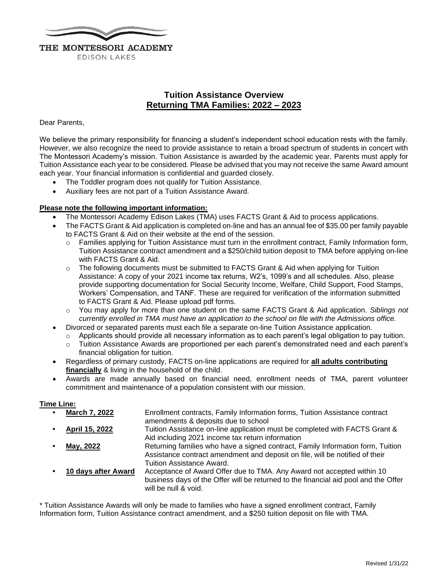

**EDISON LAKES** 

## **Tuition Assistance Overview Returning TMA Families: 2022 – 2023**

#### Dear Parents,

We believe the primary responsibility for financing a student's independent school education rests with the family. However, we also recognize the need to provide assistance to retain a broad spectrum of students in concert with The Montessori Academy's mission. Tuition Assistance is awarded by the academic year. Parents must apply for Tuition Assistance each year to be considered. Please be advised that you may not receive the same Award amount each year. Your financial information is confidential and guarded closely.

- The Toddler program does not qualify for Tuition Assistance.
- Auxiliary fees are not part of a Tuition Assistance Award.

#### **Please note the following important information:**

- The Montessori Academy Edison Lakes (TMA) uses FACTS Grant & Aid to process applications.
- The FACTS Grant & Aid application is completed on-line and has an annual fee of \$35.00 per family payable to FACTS Grant & Aid on their website at the end of the session.
	- o Families applying for Tuition Assistance must turn in the enrollment contract, Family Information form, Tuition Assistance contract amendment and a \$250/child tuition deposit to TMA before applying on-line with FACTS Grant & Aid.
	- $\circ$  The following documents must be submitted to FACTS Grant & Aid when applying for Tuition Assistance: A copy of your 2021 income tax returns, W2's, 1099's and all schedules. Also, please provide supporting documentation for Social Security Income, Welfare, Child Support, Food Stamps, Workers' Compensation, and TANF. These are required for verification of the information submitted to FACTS Grant & Aid. Please upload pdf forms.
	- o You may apply for more than one student on the same FACTS Grant & Aid application. *Siblings not currently enrolled in TMA must have an application to the school on file with the Admissions office.*
- Divorced or separated parents must each file a separate on-line Tuition Assistance application.
	- Applicants should provide all necessary information as to each parent's legal obligation to pay tuition.
	- o Tuition Assistance Awards are proportioned per each parent's demonstrated need and each parent's financial obligation for tuition.
- Regardless of primary custody, FACTS on-line applications are required for **all adults contributing financially** & living in the household of the child.
- Awards are made annually based on financial need, enrollment needs of TMA, parent volunteer commitment and maintenance of a population consistent with our mission.

### **Time Line:**

| $\bullet$ | <b>March 7, 2022</b> | Enrollment contracts, Family Information forms, Tuition Assistance contract<br>amendments & deposits due to school                                                                           |
|-----------|----------------------|----------------------------------------------------------------------------------------------------------------------------------------------------------------------------------------------|
|           | April 15, 2022       | Tuition Assistance on-line application must be completed with FACTS Grant &<br>Aid including 2021 income tax return information                                                              |
|           | May, 2022            | Returning families who have a signed contract, Family Information form, Tuition<br>Assistance contract amendment and deposit on file, will be notified of their<br>Tuition Assistance Award. |
|           | 10 days after Award  | Acceptance of Award Offer due to TMA. Any Award not accepted within 10<br>business days of the Offer will be returned to the financial aid pool and the Offer<br>will be null & void.        |

\* Tuition Assistance Awards will only be made to families who have a signed enrollment contract, Family Information form, Tuition Assistance contract amendment, and a \$250 tuition deposit on file with TMA.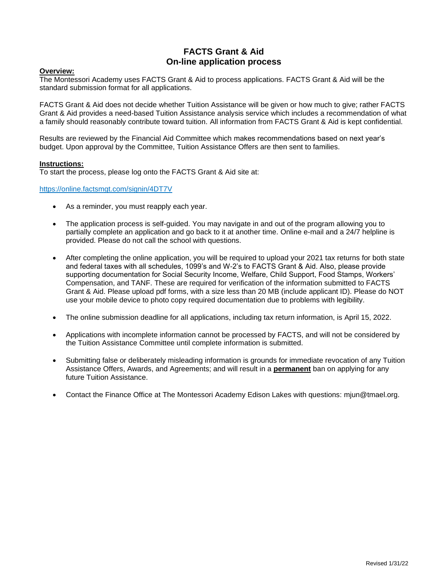## **FACTS Grant & Aid On-line application process**

#### **Overview:**

The Montessori Academy uses FACTS Grant & Aid to process applications. FACTS Grant & Aid will be the standard submission format for all applications.

FACTS Grant & Aid does not decide whether Tuition Assistance will be given or how much to give; rather FACTS Grant & Aid provides a need-based Tuition Assistance analysis service which includes a recommendation of what a family should reasonably contribute toward tuition. All information from FACTS Grant & Aid is kept confidential.

Results are reviewed by the Financial Aid Committee which makes recommendations based on next year's budget. Upon approval by the Committee, Tuition Assistance Offers are then sent to families.

#### **Instructions:**

To start the process, please log onto the FACTS Grant & Aid site at:

<https://online.factsmgt.com/signin/4DT7V>

- As a reminder, you must reapply each year.
- The application process is self-guided. You may navigate in and out of the program allowing you to partially complete an application and go back to it at another time. Online e-mail and a 24/7 helpline is provided. Please do not call the school with questions.
- After completing the online application, you will be required to upload your 2021 tax returns for both state and federal taxes with all schedules, 1099's and W-2's to FACTS Grant & Aid. Also, please provide supporting documentation for Social Security Income, Welfare, Child Support, Food Stamps, Workers' Compensation, and TANF. These are required for verification of the information submitted to FACTS Grant & Aid. Please upload pdf forms, with a size less than 20 MB (include applicant ID). Please do NOT use your mobile device to photo copy required documentation due to problems with legibility.
- The online submission deadline for all applications, including tax return information, is April 15, 2022.
- Applications with incomplete information cannot be processed by FACTS, and will not be considered by the Tuition Assistance Committee until complete information is submitted.
- Submitting false or deliberately misleading information is grounds for immediate revocation of any Tuition Assistance Offers, Awards, and Agreements; and will result in a **permanent** ban on applying for any future Tuition Assistance.
- Contact the Finance Office at The Montessori Academy Edison Lakes with questions: mjun@tmael.org.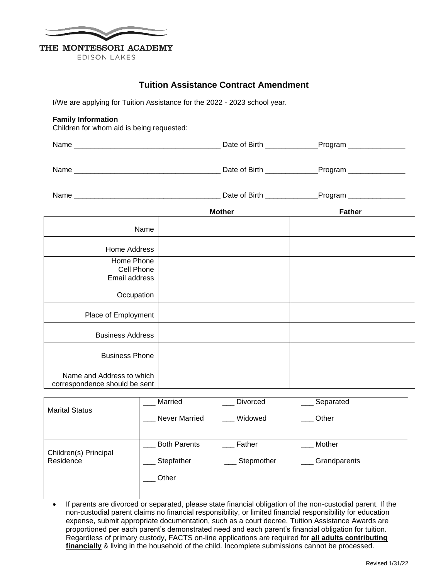

EDISON LAKES

## **Tuition Assistance Contract Amendment**

I/We are applying for Tuition Assistance for the 2022 - 2023 school year.

#### **Family Information**

Children for whom aid is being requested:

|                                                            | <b>Mother</b> | <b>Father</b> |
|------------------------------------------------------------|---------------|---------------|
| Name                                                       |               |               |
| Home Address                                               |               |               |
| Home Phone<br>Cell Phone<br>Email address                  |               |               |
| Occupation                                                 |               |               |
| Place of Employment                                        |               |               |
| <b>Business Address</b>                                    |               |               |
| <b>Business Phone</b>                                      |               |               |
| Name and Address to which<br>correspondence should be sent |               |               |

|                                    | Married             | Divorced   | Separated    |
|------------------------------------|---------------------|------------|--------------|
| <b>Marital Status</b>              | Never Married       | Widowed    | Other        |
|                                    | <b>Both Parents</b> | Father     | Mother       |
| Children(s) Principal<br>Residence | Stepfather          | Stepmother | Grandparents |
|                                    | Other               |            |              |
|                                    |                     |            |              |

• If parents are divorced or separated, please state financial obligation of the non-custodial parent. If the non-custodial parent claims no financial responsibility, or limited financial responsibility for education expense, submit appropriate documentation, such as a court decree. Tuition Assistance Awards are proportioned per each parent's demonstrated need and each parent's financial obligation for tuition. Regardless of primary custody, FACTS on-line applications are required for **all adults contributing financially** & living in the household of the child. Incomplete submissions cannot be processed.